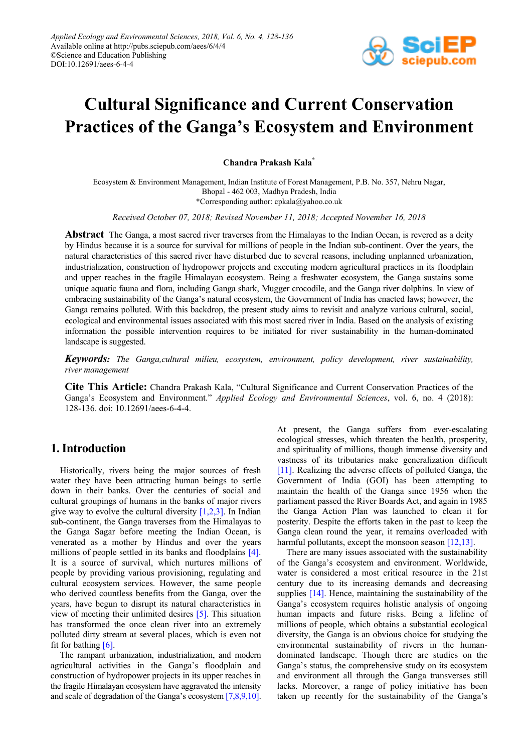

# **Cultural Significance and Current Conservation Practices of the Ganga's Ecosystem and Environment**

**Chandra Prakash Kala\***

Ecosystem & Environment Management, Indian Institute of Forest Management, P.B. No. 357, Nehru Nagar, Bhopal - 462 003, Madhya Pradesh, India \*Corresponding author: cpkala@yahoo.co.uk

*Received October 07, 2018; Revised November 11, 2018; Accepted November 16, 2018*

**Abstract** The Ganga, a most sacred river traverses from the Himalayas to the Indian Ocean, is revered as a deity by Hindus because it is a source for survival for millions of people in the Indian sub-continent. Over the years, the natural characteristics of this sacred river have disturbed due to several reasons, including unplanned urbanization, industrialization, construction of hydropower projects and executing modern agricultural practices in its floodplain and upper reaches in the fragile Himalayan ecosystem. Being a freshwater ecosystem, the Ganga sustains some unique aquatic fauna and flora, including Ganga shark, Mugger crocodile, and the Ganga river dolphins. In view of embracing sustainability of the Ganga's natural ecosystem, the Government of India has enacted laws; however, the Ganga remains polluted. With this backdrop, the present study aims to revisit and analyze various cultural, social, ecological and environmental issues associated with this most sacred river in India. Based on the analysis of existing information the possible intervention requires to be initiated for river sustainability in the human-dominated landscape is suggested.

*Keywords: The Ganga,cultural milieu, ecosystem, environment, policy development, river sustainability, river management*

**Cite This Article:** Chandra Prakash Kala, "Cultural Significance and Current Conservation Practices of the Ganga's Ecosystem and Environment." *Applied Ecology and Environmental Sciences*, vol. 6, no. 4 (2018): 128-136. doi: 10.12691/aees-6-4-4.

# **1. Introduction**

Historically, rivers being the major sources of fresh water they have been attracting human beings to settle down in their banks. Over the centuries of social and cultural groupings of humans in the banks of major rivers give way to evolve the cultural diversity [\[1,2,3\].](#page-7-0) In Indian sub-continent, the Ganga traverses from the Himalayas to the Ganga Sagar before meeting the Indian Ocean, is venerated as a mother by Hindus and over the years millions of people settled in its banks and floodplains [\[4\].](#page-7-1) It is a source of survival, which nurtures millions of people by providing various provisioning, regulating and cultural ecosystem services. However, the same people who derived countless benefits from the Ganga, over the years, have begun to disrupt its natural characteristics in view of meeting their unlimited desires [\[5\].](#page-7-2) This situation has transformed the once clean river into an extremely polluted dirty stream at several places, which is even not fit for bathing  $[6]$ .

The rampant urbanization, industrialization, and modern agricultural activities in the Ganga's floodplain and construction of hydropower projects in its upper reaches in the fragile Himalayan ecosystem have aggravated the intensity and scale of degradation of the Ganga's ecosyste[m \[7,8,9,10\].](#page-7-4)

At present, the Ganga suffers from ever-escalating ecological stresses, which threaten the health, prosperity, and spirituality of millions, though immense diversity and vastness of its tributaries make generalization difficult [\[11\].](#page-7-5) Realizing the adverse effects of polluted Ganga, the Government of India (GOI) has been attempting to maintain the health of the Ganga since 1956 when the parliament passed the River Boards Act, and again in 1985 the Ganga Action Plan was launched to clean it for posterity. Despite the efforts taken in the past to keep the Ganga clean round the year, it remains overloaded with harmful pollutants, except the monsoon season [\[12,13\].](#page-7-6)

There are many issues associated with the sustainability of the Ganga's ecosystem and environment. Worldwide, water is considered a most critical resource in the 21st century due to its increasing demands and decreasing supplies [\[14\].](#page-7-7) Hence, maintaining the sustainability of the Ganga's ecosystem requires holistic analysis of ongoing human impacts and future risks. Being a lifeline of millions of people, which obtains a substantial ecological diversity, the Ganga is an obvious choice for studying the environmental sustainability of rivers in the humandominated landscape. Though there are studies on the Ganga's status, the comprehensive study on its ecosystem and environment all through the Ganga transverses still lacks. Moreover, a range of policy initiative has been taken up recently for the sustainability of the Ganga's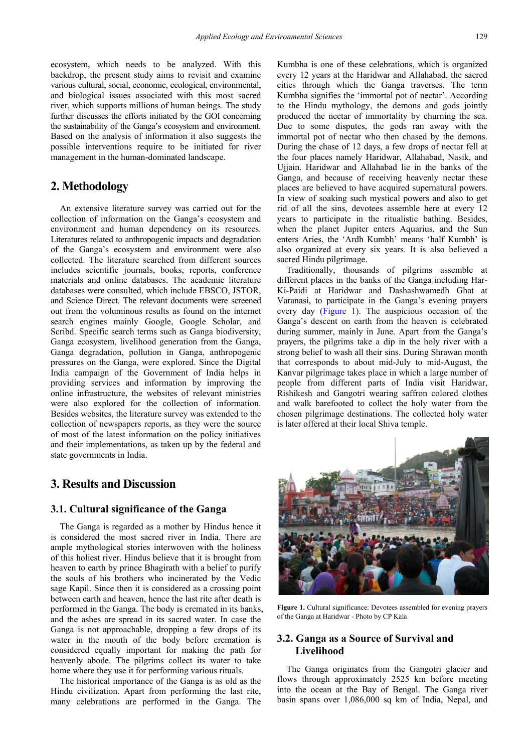ecosystem, which needs to be analyzed. With this backdrop, the present study aims to revisit and examine various cultural, social, economic, ecological, environmental, and biological issues associated with this most sacred river, which supports millions of human beings. The study further discusses the efforts initiated by the GOI concerning the sustainability of the Ganga's ecosystem and environment. Based on the analysis of information it also suggests the possible interventions require to be initiated for river management in the human-dominated landscape.

# **2. Methodology**

An extensive literature survey was carried out for the collection of information on the Ganga's ecosystem and environment and human dependency on its resources. Literatures related to anthropogenic impacts and degradation of the Ganga's ecosystem and environment were also collected. The literature searched from different sources includes scientific journals, books, reports, conference materials and online databases. The academic literature databases were consulted, which include EBSCO, JSTOR, and Science Direct. The relevant documents were screened out from the voluminous results as found on the internet search engines mainly Google, Google Scholar, and Scribd. Specific search terms such as Ganga biodiversity, Ganga ecosystem, livelihood generation from the Ganga, Ganga degradation, pollution in Ganga, anthropogenic pressures on the Ganga, were explored. Since the Digital India campaign of the Government of India helps in providing services and information by improving the online infrastructure, the websites of relevant ministries were also explored for the collection of information. Besides websites, the literature survey was extended to the collection of newspapers reports, as they were the source of most of the latest information on the policy initiatives and their implementations, as taken up by the federal and state governments in India.

# **3. Results and Discussion**

## **3.1. Cultural significance of the Ganga**

The Ganga is regarded as a mother by Hindus hence it is considered the most sacred river in India. There are ample mythological stories interwoven with the holiness of this holiest river. Hindus believe that it is brought from heaven to earth by prince Bhagirath with a belief to purify the souls of his brothers who incinerated by the Vedic sage Kapil. Since then it is considered as a crossing point between earth and heaven, hence the last rite after death is performed in the Ganga. The body is cremated in its banks, and the ashes are spread in its sacred water. In case the Ganga is not approachable, dropping a few drops of its water in the mouth of the body before cremation is considered equally important for making the path for heavenly abode. The pilgrims collect its water to take home where they use it for performing various rituals.

The historical importance of the Ganga is as old as the Hindu civilization. Apart from performing the last rite, many celebrations are performed in the Ganga. The Kumbha is one of these celebrations, which is organized every 12 years at the Haridwar and Allahabad, the sacred cities through which the Ganga traverses. The term Kumbha signifies the 'immortal pot of nectar'. According to the Hindu mythology, the demons and gods jointly produced the nectar of immortality by churning the sea. Due to some disputes, the gods ran away with the immortal pot of nectar who then chased by the demons. During the chase of 12 days, a few drops of nectar fell at the four places namely Haridwar, Allahabad, Nasik, and Ujjain. Haridwar and Allahabad lie in the banks of the Ganga, and because of receiving heavenly nectar these places are believed to have acquired supernatural powers. In view of soaking such mystical powers and also to get rid of all the sins, devotees assemble here at every 12 years to participate in the ritualistic bathing. Besides, when the planet Jupiter enters Aquarius, and the Sun enters Aries, the 'Ardh Kumbh' means 'half Kumbh' is also organized at every six years. It is also believed a sacred Hindu pilgrimage.

Traditionally, thousands of pilgrims assemble at different places in the banks of the Ganga including Har-Ki-Paidi at Haridwar and Dashashwamedh Ghat at Varanasi, to participate in the Ganga's evening prayers every day [\(Figure 1\)](#page-1-0). The auspicious occasion of the Ganga's descent on earth from the heaven is celebrated during summer, mainly in June. Apart from the Ganga's prayers, the pilgrims take a dip in the holy river with a strong belief to wash all their sins. During Shrawan month that corresponds to about mid-July to mid-August, the Kanvar pilgrimage takes place in which a large number of people from different parts of India visit Haridwar, Rishikesh and Gangotri wearing saffron colored clothes and walk barefooted to collect the holy water from the chosen pilgrimage destinations. The collected holy water is later offered at their local Shiva temple.

<span id="page-1-0"></span>

Figure 1. Cultural significance: Devotees assembled for evening prayers of the Ganga at Haridwar - Photo by CP Kala

## **3.2. Ganga as a Source of Survival and Livelihood**

The Ganga originates from the Gangotri glacier and flows through approximately 2525 km before meeting into the ocean at the Bay of Bengal. The Ganga river basin spans over 1,086,000 sq km of India, Nepal, and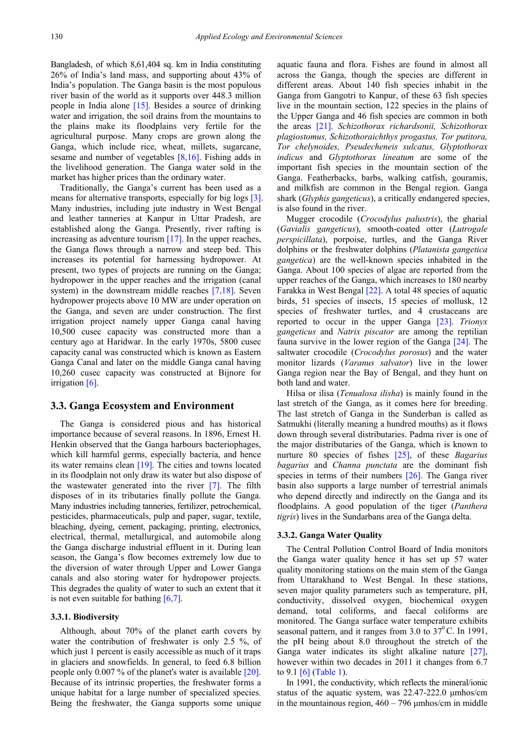Bangladesh, of which 8,61,404 sq. km in India constituting 26% of India's land mass, and supporting about 43% of India's population. The Ganga basin is the most populous river basin of the world as it supports over 448.3 million people in India alone [\[15\].](#page-7-8) Besides a source of drinking water and irrigation, the soil drains from the mountains to the plains make its floodplains very fertile for the agricultural purpose. Many crops are grown along the Ganga, which include rice, wheat, millets, sugarcane, sesame and number of vegetables [\[8,16\].](#page-7-9) Fishing adds in the livelihood generation. The Ganga water sold in the market has higher prices than the ordinary water.

Traditionally, the Ganga's current has been used as a means for alternative transports, especially for big logs [\[3\].](#page-7-10) Many industries, including jute industry in West Bengal and leather tanneries at Kanpur in Uttar Pradesh, are established along the Ganga. Presently, river rafting is increasing as adventure touris[m \[17\].](#page-7-11) In the upper reaches, the Ganga flows through a narrow and steep bed. This increases its potential for harnessing hydropower. At present, two types of projects are running on the Ganga; hydropower in the upper reaches and the irrigation (canal system) in the downstream middle reaches [\[7,18\].](#page-7-4) Seven hydropower projects above 10 MW are under operation on the Ganga, and seven are under construction. The first irrigation project namely upper Ganga canal having 10,500 cusec capacity was constructed more than a century ago at Haridwar. In the early 1970s, 5800 cusec capacity canal was constructed which is known as Eastern Ganga Canal and later on the middle Ganga canal having 10,260 cusec capacity was constructed at Bijnore for irrigation [\[6\].](#page-7-3)

## **3.3. Ganga Ecosystem and Environment**

The Ganga is considered pious and has historical importance because of several reasons. In 1896, Ernest H. Henkin observed that the Ganga harbours bacteriophages, which kill harmful germs, especially bacteria, and hence its water remains clean [\[19\].](#page-7-12) The cities and towns located in its floodplain not only draw its water but also dispose of the wastewater generated into the river [\[7\].](#page-7-4) The filth disposes of in its tributaries finally pollute the Ganga. Many industries including tanneries, fertilizer, petrochemical, pesticides, pharmaceuticals, pulp and paper, sugar, textile, bleaching, dyeing, cement, packaging, printing, electronics, electrical, thermal, metallurgical, and automobile along the Ganga discharge industrial effluent in it. During lean season, the Ganga's flow becomes extremely low due to the diversion of water through Upper and Lower Ganga canals and also storing water for hydropower projects. This degrades the quality of water to such an extent that it is not even suitable for bathing  $[6,7]$ .

#### **3.3.1. Biodiversity**

Although, about 70% of the planet earth covers by water the contribution of freshwater is only 2.5 %, of which just 1 percent is easily accessible as much of it traps in glaciers and snowfields. In general, to feed 6.8 billion people only 0.007 % of the planet's water is available [\[20\].](#page-7-13) Because of its intrinsic properties, the freshwater forms a unique habitat for a large number of specialized species. Being the freshwater, the Ganga supports some unique

aquatic fauna and flora. Fishes are found in almost all across the Ganga, though the species are different in different areas. About 140 fish species inhabit in the Ganga from Gangotri to Kanpur, of these 63 fish species live in the mountain section, 122 species in the plains of the Upper Ganga and 46 fish species are common in both the areas [\[21\].](#page-7-14) *Schizothorax richardsonii, Schizothorax plagiostomus, Schizothoraichthys progastus, Tor putitora, Tor chelynoides, Pseudecheneis sulcatus, Glyptothorax indicus* and *Glyptothorax lineatum* are some of the important fish species in the mountain section of the Ganga. Featherbacks, barbs, walking catfish, gouramis, and milkfish are common in the Bengal region. Ganga shark (*Glyphis gangeticus*), a critically endangered species, is also found in the river.

Mugger crocodile (*Crocodylus palustris*), the gharial (*Gavialis gangeticus*), smooth-coated otter (*Lutrogale perspicillata*), porpoise, turtles, and the Ganga River dolphins or the freshwater dolphins (*Platanista gangetica gangetica*) are the well-known species inhabited in the Ganga. About 100 species of algae are reported from the upper reaches of the Ganga, which increases to 180 nearby Farakka in West Benga[l \[22\].](#page-7-15) A total 48 species of aquatic birds, 51 species of insects, 15 species of mollusk, 12 species of freshwater turtles, and 4 crustaceans are reported to occur in the upper Ganga [\[23\].](#page-7-16) *Trionyx gangeticus* and *Natrix piscator* are among the reptilian fauna survive in the lower region of the Ganga [\[24\].](#page-7-17) The saltwater crocodile (*Crocodylus porosus*) and the water monitor lizards (*Varanus salvator*) live in the lower Ganga region near the Bay of Bengal, and they hunt on both land and water.

Hilsa or ilisa (*Tenualosa ilisha*) is mainly found in the last stretch of the Ganga, as it comes here for breeding. The last stretch of Ganga in the Sunderban is called as Satmukhi (literally meaning a hundred mouths) as it flows down through several distributaries. Padma river is one of the major distributaries of the Ganga, which is known to nurture 80 species of fishes [\[25\],](#page-7-18) of these *Bagarius bagarius* and *Channa punctata* are the dominant fish species in terms of their numbers [\[26\].](#page-8-0) The Ganga river basin also supports a large number of terrestrial animals who depend directly and indirectly on the Ganga and its floodplains. A good population of the tiger (*Panthera tigris*) lives in the Sundarbans area of the Ganga delta.

#### **3.3.2. Ganga Water Quality**

The Central Pollution Control Board of India monitors the Ganga water quality hence it has set up 57 water quality monitoring stations on the main stem of the Ganga from Uttarakhand to West Bengal. In these stations, seven major quality parameters such as temperature, pH, conductivity, dissolved oxygen, biochemical oxygen demand, total coliforms, and faecal coliforms are monitored. The Ganga surface water temperature exhibits seasonal pattern, and it ranges from 3.0 to  $37^{\circ}$ C. In 1991, the pH being about 8.0 throughout the stretch of the Ganga water indicates its slight alkaline nature [\[27\],](#page-8-1) however within two decades in 2011 it changes from 6.7 to 9.[1 \[6\]](#page-7-3) [\(Table 1\)](#page-4-0).

In 1991, the conductivity, which reflects the mineral/ionic status of the aquatic system, was 22.47-222.0 μmhos/cm in the mountainous region,  $460 - 796$   $\mu$ mhos/cm in middle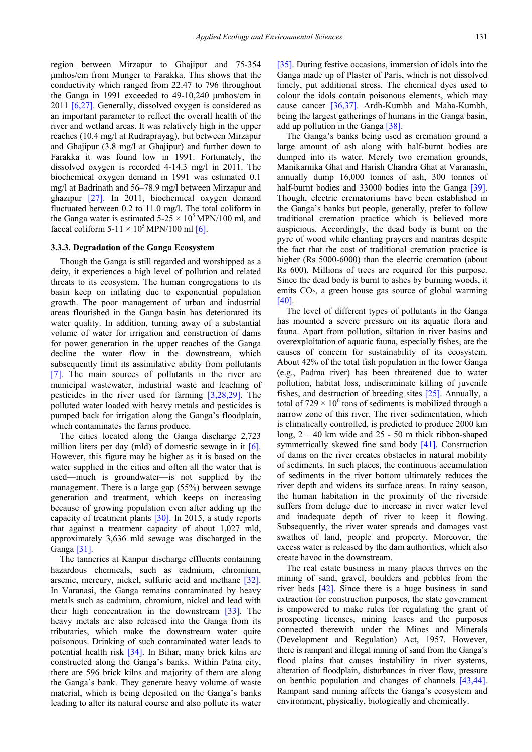region between Mirzapur to Ghajipur and 75-354 μmhos/cm from Munger to Farakka. This shows that the conductivity which ranged from 22.47 to 796 throughout the Ganga in 1991 exceeded to 49-10,240 μmhos/cm in 2011 [\[6,27\].](#page-7-3) Generally, dissolved oxygen is considered as an important parameter to reflect the overall health of the river and wetland areas. It was relatively high in the upper reaches (10.4 mg/l at Rudraprayag), but between Mirzapur and Ghajipur (3.8 mg/l at Ghajipur) and further down to Farakka it was found low in 1991. Fortunately, the dissolved oxygen is recorded 4-14.3 mg/l in 2011. The biochemical oxygen demand in 1991 was estimated 0.1 mg/l at Badrinath and 56–78.9 mg/l between Mirzapur and ghazipur [\[27\].](#page-8-1) In 2011, biochemical oxygen demand fluctuated between 0.2 to 11.0 mg/l. The total coliform in the Ganga water is estimated  $5-25 \times 10^5$  MPN/100 ml, and faecal coliform  $5-11 \times 10^5$  MPN/100 ml [6].

#### **3.3.3. Degradation of the Ganga Ecosystem**

Though the Ganga is still regarded and worshipped as a deity, it experiences a high level of pollution and related threats to its ecosystem. The human congregations to its basin keep on inflating due to exponential population growth. The poor management of urban and industrial areas flourished in the Ganga basin has deteriorated its water quality. In addition, turning away of a substantial volume of water for irrigation and construction of dams for power generation in the upper reaches of the Ganga decline the water flow in the downstream, which subsequently limit its assimilative ability from pollutants [\[7\].](#page-7-4) The main sources of pollutants in the river are municipal wastewater, industrial waste and leaching of pesticides in the river used for farming [\[3,28,29\].](#page-7-10) The polluted water loaded with heavy metals and pesticides is pumped back for irrigation along the Ganga's floodplain, which contaminates the farms produce.

The cities located along the Ganga discharge 2,723 million liters per day (mld) of domestic sewage in it [\[6\].](#page-7-3) However, this figure may be higher as it is based on the water supplied in the cities and often all the water that is used—much is groundwater—is not supplied by the management. There is a large gap (55%) between sewage generation and treatment, which keeps on increasing because of growing population even after adding up the capacity of treatment plants [\[30\].](#page-8-2) In 2015, a study reports that against a treatment capacity of about 1,027 mld, approximately 3,636 mld sewage was discharged in the Ganga [\[31\].](#page-8-3)

The tanneries at Kanpur discharge effluents containing hazardous chemicals, such as cadmium, chromium, arsenic, mercury, nickel, sulfuric acid and methane [\[32\].](#page-8-4) In Varanasi, the Ganga remains contaminated by heavy metals such as cadmium, chromium, nickel and lead with their high concentration in the downstream [\[33\].](#page-8-5) The heavy metals are also released into the Ganga from its tributaries, which make the downstream water quite poisonous. Drinking of such contaminated water leads to potential health risk [\[34\].](#page-8-6) In Bihar, many brick kilns are constructed along the Ganga's banks. Within Patna city, there are 596 brick kilns and majority of them are along the Ganga's bank. They generate heavy volume of waste material, which is being deposited on the Ganga's banks leading to alter its natural course and also pollute its water

[\[35\].](#page-8-7) During festive occasions, immersion of idols into the Ganga made up of Plaster of Paris, which is not dissolved timely, put additional stress. The chemical dyes used to colour the idols contain poisonous elements, which may cause cancer [\[36,37\].](#page-8-8) Ardh-Kumbh and Maha-Kumbh, being the largest gatherings of humans in the Ganga basin, add up pollution in the Ganga [\[38\].](#page-8-9)

The Ganga's banks being used as cremation ground a large amount of ash along with half-burnt bodies are dumped into its water. Merely two cremation grounds, Manikarnika Ghat and Harish Chandra Ghat at Varanashi, annually dump 16,000 tonnes of ash, 300 tonnes of half-burnt bodies and 33000 bodies into the Ganga [\[39\].](#page-8-10) Though, electric crematoriums have been established in the Ganga's banks but people, generally, prefer to follow traditional cremation practice which is believed more auspicious. Accordingly, the dead body is burnt on the pyre of wood while chanting prayers and mantras despite the fact that the cost of traditional cremation practice is higher (Rs 5000-6000) than the electric cremation (about Rs 600). Millions of trees are required for this purpose. Since the dead body is burnt to ashes by burning woods, it emits  $CO<sub>2</sub>$ , a green house gas source of global warming [\[40\].](#page-8-11)

The level of different types of pollutants in the Ganga has mounted a severe pressure on its aquatic flora and fauna. Apart from pollution, siltation in river basins and overexploitation of aquatic fauna, especially fishes, are the causes of concern for sustainability of its ecosystem. About 42% of the total fish population in the lower Ganga (e.g., Padma river) has been threatened due to water pollution, habitat loss, indiscriminate killing of juvenile fishes, and destruction of breeding sites [\[25\].](#page-7-18) Annually, a total of  $729 \times 10^6$  tons of sediments is mobilized through a narrow zone of this river. The river sedimentation, which is climatically controlled, is predicted to produce 2000 km long, 2 – 40 km wide and 25 - 50 m thick ribbon-shaped symmetrically skewed fine sand body [\[41\].](#page-8-12) Construction of dams on the river creates obstacles in natural mobility of sediments. In such places, the continuous accumulation of sediments in the river bottom ultimately reduces the river depth and widens its surface areas. In rainy season, the human habitation in the proximity of the riverside suffers from deluge due to increase in river water level and inadequate depth of river to keep it flowing. Subsequently, the river water spreads and damages vast swathes of land, people and property. Moreover, the excess water is released by the dam authorities, which also create havoc in the downstream.

The real estate business in many places thrives on the mining of sand, gravel, boulders and pebbles from the river beds [\[42\].](#page-8-13) Since there is a huge business in sand extraction for construction purposes, the state government is empowered to make rules for regulating the grant of prospecting licenses, mining leases and the purposes connected therewith under the Mines and Minerals (Development and Regulation) Act, 1957. However, there is rampant and illegal mining of sand from the Ganga's flood plains that causes instability in river systems, alteration of floodplain, disturbances in river flow, pressure on benthic population and changes of channels [\[43,44\].](#page-8-14) Rampant sand mining affects the Ganga's ecosystem and environment, physically, biologically and chemically.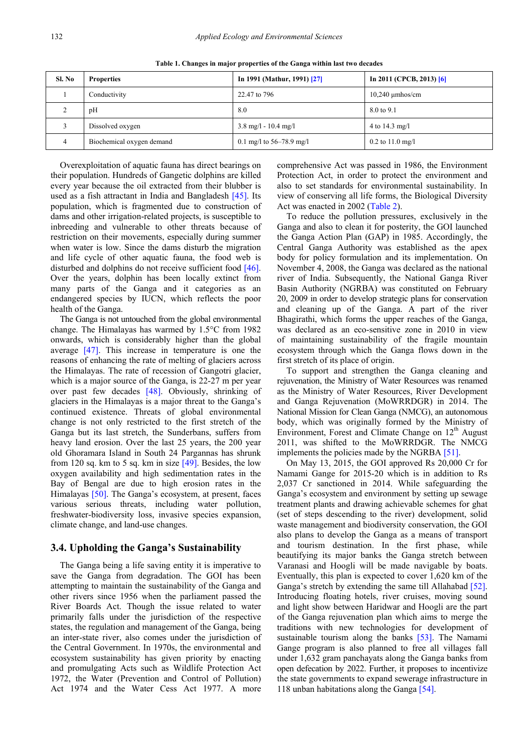<span id="page-4-0"></span>

| Sl. No | <b>Properties</b>         | In 1991 (Mathur, 1991) [27]            | In 2011 (CPCB, 2013) $[6]$ |
|--------|---------------------------|----------------------------------------|----------------------------|
|        | Conductivity              | 22.47 to 796                           | $10,240 \mu m$ hos/cm      |
| ∠      | pH                        | 8.0                                    | 8.0 to 9.1                 |
|        | Dissolved oxygen          | $3.8 \text{ mg/l} - 10.4 \text{ mg/l}$ | 4 to $14.3 \text{ mg/l}$   |
|        | Biochemical oxygen demand | 0.1 mg/l to 56–78.9 mg/l               | $0.2$ to 11.0 mg/l         |

**Table 1. Changes in major properties of the Ganga within last two decades** 

Overexploitation of aquatic fauna has direct bearings on their population. Hundreds of Gangetic dolphins are killed every year because the oil extracted from their blubber is used as a fish attractant in India and Bangladesh [\[45\].](#page-8-15) Its population, which is fragmented due to construction of dams and other irrigation-related projects, is susceptible to inbreeding and vulnerable to other threats because of restriction on their movements, especially during summer when water is low. Since the dams disturb the migration and life cycle of other aquatic fauna, the food web is disturbed and dolphins do not receive sufficient food [\[46\].](#page-8-16) Over the years, dolphin has been locally extinct from many parts of the Ganga and it categories as an endangered species by IUCN, which reflects the poor health of the Ganga.

The Ganga is not untouched from the global environmental change. The Himalayas has warmed by 1.5°C from 1982 onwards, which is considerably higher than the global average [\[47\].](#page-8-17) This increase in temperature is one the reasons of enhancing the rate of melting of glaciers across the Himalayas. The rate of recession of Gangotri glacier, which is a major source of the Ganga, is 22-27 m per year over past few decades [\[48\].](#page-8-18) Obviously, shrinking of glaciers in the Himalayas is a major threat to the Ganga's continued existence. Threats of global environmental change is not only restricted to the first stretch of the Ganga but its last stretch, the Sunderbans, suffers from heavy land erosion. Over the last 25 years, the 200 year old Ghoramara Island in South 24 Pargannas has shrunk from 120 sq. km to 5 sq. km in size  $[49]$ . Besides, the low oxygen availability and high sedimentation rates in the Bay of Bengal are due to high erosion rates in the Himalayas [\[50\].](#page-8-20) The Ganga's ecosystem, at present, faces various serious threats, including water pollution, freshwater-biodiversity loss, invasive species expansion, climate change, and land-use changes.

## **3.4. Upholding the Ganga's Sustainability**

The Ganga being a life saving entity it is imperative to save the Ganga from degradation. The GOI has been attempting to maintain the sustainability of the Ganga and other rivers since 1956 when the parliament passed the River Boards Act. Though the issue related to water primarily falls under the jurisdiction of the respective states, the regulation and management of the Ganga, being an inter-state river, also comes under the jurisdiction of the Central Government. In 1970s, the environmental and ecosystem sustainability has given priority by enacting and promulgating Acts such as Wildlife Protection Act 1972, the Water (Prevention and Control of Pollution) Act 1974 and the Water Cess Act 1977. A more

comprehensive Act was passed in 1986, the Environment Protection Act, in order to protect the environment and also to set standards for environmental sustainability. In view of conserving all life forms, the Biological Diversity Act was enacted in 2002 [\(Table 2\)](#page-5-0).

To reduce the pollution pressures, exclusively in the Ganga and also to clean it for posterity, the GOI launched the Ganga Action Plan (GAP) in 1985. Accordingly, the Central Ganga Authority was established as the apex body for policy formulation and its implementation. On November 4, 2008, the Ganga was declared as the national river of India. Subsequently, the National Ganga River Basin Authority (NGRBA) was constituted on February 20, 2009 in order to develop strategic plans for conservation and cleaning up of the Ganga. A part of the river Bhagirathi, which forms the upper reaches of the Ganga, was declared as an eco-sensitive zone in 2010 in view of maintaining sustainability of the fragile mountain ecosystem through which the Ganga flows down in the first stretch of its place of origin.

To support and strengthen the Ganga cleaning and rejuvenation, the Ministry of Water Resources was renamed as the Ministry of Water Resources, River Development and Ganga Rejuvenation (MoWRRDGR) in 2014. The National Mission for Clean Ganga (NMCG), an autonomous body, which was originally formed by the Ministry of Environment, Forest and Climate Change on  $12<sup>th</sup>$  August 2011, was shifted to the MoWRRDGR. The NMCG implements the policies made by the NGRB[A \[51\].](#page-8-21)

On May 13, 2015, the GOI approved Rs 20,000 Cr for Namami Gange for 2015-20 which is in addition to Rs 2,037 Cr sanctioned in 2014. While safeguarding the Ganga's ecosystem and environment by setting up sewage treatment plants and drawing achievable schemes for ghat (set of steps descending to the river) development, solid waste management and biodiversity conservation, the GOI also plans to develop the Ganga as a means of transport and tourism destination. In the first phase, while beautifying its major banks the Ganga stretch between Varanasi and Hoogli will be made navigable by boats. Eventually, this plan is expected to cover 1,620 km of the Ganga's stretch by extending the same till Allahabad [\[52\].](#page-8-22) Introducing floating hotels, river cruises, moving sound and light show between Haridwar and Hoogli are the part of the Ganga rejuvenation plan which aims to merge the traditions with new technologies for development of sustainable tourism along the banks [\[53\].](#page-8-23) The Namami Gange program is also planned to free all villages fall under 1,632 gram panchayats along the Ganga banks from open defecation by 2022. Further, it proposes to incentivize the state governments to expand sewerage infrastructure in 118 unban habitations along the Ganga [\[54\].](#page-8-24)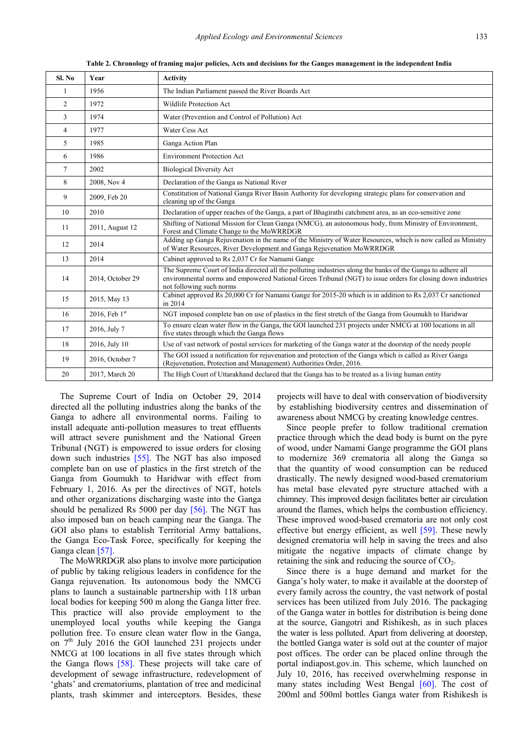**Table 2. Chronology of framing major policies, Acts and decisions for the Ganges management in the independent India** 

<span id="page-5-0"></span>

| Sl. No         | Year             | <b>Activity</b>                                                                                                                                                                                                                                        |
|----------------|------------------|--------------------------------------------------------------------------------------------------------------------------------------------------------------------------------------------------------------------------------------------------------|
| 1              | 1956             | The Indian Parliament passed the River Boards Act                                                                                                                                                                                                      |
| $\overline{2}$ | 1972             | Wildlife Protection Act                                                                                                                                                                                                                                |
| 3              | 1974             | Water (Prevention and Control of Pollution) Act                                                                                                                                                                                                        |
| $\overline{4}$ | 1977             | Water Cess Act                                                                                                                                                                                                                                         |
| 5              | 1985             | Ganga Action Plan                                                                                                                                                                                                                                      |
| 6              | 1986             | <b>Environment Protection Act</b>                                                                                                                                                                                                                      |
| $\tau$         | 2002             | <b>Biological Diversity Act</b>                                                                                                                                                                                                                        |
| 8              | 2008, Nov 4      | Declaration of the Ganga as National River                                                                                                                                                                                                             |
| 9              | 2009, Feb 20     | Constitution of National Ganga River Basin Authority for developing strategic plans for conservation and<br>cleaning up of the Ganga                                                                                                                   |
| 10             | 2010             | Declaration of upper reaches of the Ganga, a part of Bhagirathi catchment area, as an eco-sensitive zone                                                                                                                                               |
| 11             | 2011, August 12  | Shifting of National Mission for Clean Ganga (NMCG), an autonomous body, from Ministry of Environment,<br>Forest and Climate Change to the MoWRRDGR                                                                                                    |
| 12             | 2014             | Adding up Ganga Rejuvenation in the name of the Ministry of Water Resources, which is now called as Ministry<br>of Water Resources, River Development and Ganga Rejuvenation MoWRRDGR                                                                  |
| 13             | 2014             | Cabinet approved to Rs 2,037 Cr for Namami Gange                                                                                                                                                                                                       |
| 14             | 2014, October 29 | The Supreme Court of India directed all the polluting industries along the banks of the Ganga to adhere all<br>environmental norms and empowered National Green Tribunal (NGT) to issue orders for closing down industries<br>not following such norms |
| 15             | 2015, May 13     | Cabinet approved Rs 20,000 Cr for Namami Gange for 2015-20 which is in addition to Rs 2,037 Cr sanctioned<br>in 2014                                                                                                                                   |
| 16             | 2016, Feb $1st$  | NGT imposed complete ban on use of plastics in the first stretch of the Ganga from Goumukh to Haridwar                                                                                                                                                 |
| 17             | 2016, July 7     | To ensure clean water flow in the Ganga, the GOI launched 231 projects under NMCG at 100 locations in all<br>five states through which the Ganga flows                                                                                                 |
| 18             | 2016, July 10    | Use of vast network of postal services for marketing of the Ganga water at the doorstep of the needy people                                                                                                                                            |
| 19             | 2016, October 7  | The GOI issued a notification for rejuvenation and protection of the Ganga which is called as River Ganga<br>(Rejuvenation, Protection and Management) Authorities Order, 2016.                                                                        |
| 20             | 2017, March 20   | The High Court of Uttarakhand declared that the Ganga has to be treated as a living human entity                                                                                                                                                       |

The Supreme Court of India on October 29, 2014 directed all the polluting industries along the banks of the Ganga to adhere all environmental norms. Failing to install adequate anti-pollution measures to treat effluents will attract severe punishment and the National Green Tribunal (NGT) is empowered to issue orders for closing down such industries [\[55\].](#page-8-25) The NGT has also imposed complete ban on use of plastics in the first stretch of the Ganga from Goumukh to Haridwar with effect from February 1, 2016. As per the directives of NGT, hotels and other organizations discharging waste into the Ganga should be penalized Rs 5000 per day [\[56\].](#page-8-26) The NGT has also imposed ban on beach camping near the Ganga. The GOI also plans to establish Territorial Army battalions, the Ganga Eco-Task Force, specifically for keeping the Ganga clean [\[57\].](#page-8-27)

The MoWRRDGR also plans to involve more participation of public by taking religious leaders in confidence for the Ganga rejuvenation. Its autonomous body the NMCG plans to launch a sustainable partnership with 118 urban local bodies for keeping 500 m along the Ganga litter free. This practice will also provide employment to the unemployed local youths while keeping the Ganga pollution free. To ensure clean water flow in the Ganga, on  $7<sup>th</sup>$  July 2016 the GOI launched 231 projects under NMCG at 100 locations in all five states through which the Ganga flows [\[58\].](#page-8-28) These projects will take care of development of sewage infrastructure, redevelopment of 'ghats' and crematoriums, plantation of tree and medicinal plants, trash skimmer and interceptors. Besides, these

projects will have to deal with conservation of biodiversity by establishing biodiversity centres and dissemination of awareness about NMCG by creating knowledge centres.

Since people prefer to follow traditional cremation practice through which the dead body is burnt on the pyre of wood, under Namami Gange programme the GOI plans to modernize 369 crematoria all along the Ganga so that the quantity of wood consumption can be reduced drastically. The newly designed wood-based crematorium has metal base elevated pyre structure attached with a chimney. This improved design facilitates better air circulation around the flames, which helps the combustion efficiency. These improved wood-based crematoria are not only cost effective but energy efficient, as well [\[59\].](#page-8-29) These newly designed crematoria will help in saving the trees and also mitigate the negative impacts of climate change by retaining the sink and reducing the source of  $CO<sub>2</sub>$ .

Since there is a huge demand and market for the Ganga's holy water, to make it available at the doorstep of every family across the country, the vast network of postal services has been utilized from July 2016. The packaging of the Ganga water in bottles for distribution is being done at the source, Gangotri and Rishikesh, as in such places the water is less polluted. Apart from delivering at doorstep, the bottled Ganga water is sold out at the counter of major post offices. The order can be placed online through the portal indiapost.gov.in. This scheme, which launched on July 10, 2016, has received overwhelming response in many states including West Bengal [\[60\].](#page-8-30) The cost of 200ml and 500ml bottles Ganga water from Rishikesh is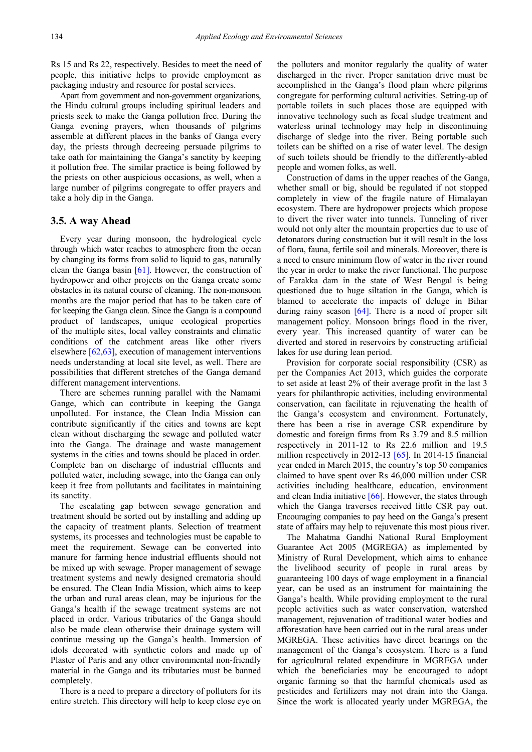Rs 15 and Rs 22, respectively. Besides to meet the need of people, this initiative helps to provide employment as packaging industry and resource for postal services.

Apart from government and non-government organizations, the Hindu cultural groups including spiritual leaders and priests seek to make the Ganga pollution free. During the Ganga evening prayers, when thousands of pilgrims assemble at different places in the banks of Ganga every day, the priests through decreeing persuade pilgrims to take oath for maintaining the Ganga's sanctity by keeping it pollution free. The similar practice is being followed by the priests on other auspicious occasions, as well, when a large number of pilgrims congregate to offer prayers and take a holy dip in the Ganga.

## **3.5. A way Ahead**

Every year during monsoon, the hydrological cycle through which water reaches to atmosphere from the ocean by changing its forms from solid to liquid to gas, naturally clean the Ganga basin [\[61\].](#page-8-31) However, the construction of hydropower and other projects on the Ganga create some obstacles in its natural course of cleaning. The non-monsoon months are the major period that has to be taken care of for keeping the Ganga clean. Since the Ganga is a compound product of landscapes, unique ecological properties of the multiple sites, local valley constraints and climatic conditions of the catchment areas like other rivers elsewhere [\[62,63\],](#page-8-32) execution of management interventions needs understanding at local site level, as well. There are possibilities that different stretches of the Ganga demand different management interventions.

There are schemes running parallel with the Namami Gange, which can contribute in keeping the Ganga unpolluted. For instance, the Clean India Mission can contribute significantly if the cities and towns are kept clean without discharging the sewage and polluted water into the Ganga. The drainage and waste management systems in the cities and towns should be placed in order. Complete ban on discharge of industrial effluents and polluted water, including sewage, into the Ganga can only keep it free from pollutants and facilitates in maintaining its sanctity.

The escalating gap between sewage generation and treatment should be sorted out by installing and adding up the capacity of treatment plants. Selection of treatment systems, its processes and technologies must be capable to meet the requirement. Sewage can be converted into manure for farming hence industrial effluents should not be mixed up with sewage. Proper management of sewage treatment systems and newly designed crematoria should be ensured. The Clean India Mission, which aims to keep the urban and rural areas clean, may be injurious for the Ganga's health if the sewage treatment systems are not placed in order. Various tributaries of the Ganga should also be made clean otherwise their drainage system will continue messing up the Ganga's health. Immersion of idols decorated with synthetic colors and made up of Plaster of Paris and any other environmental non-friendly material in the Ganga and its tributaries must be banned completely.

There is a need to prepare a directory of polluters for its entire stretch. This directory will help to keep close eye on the polluters and monitor regularly the quality of water discharged in the river. Proper sanitation drive must be accomplished in the Ganga's flood plain where pilgrims congregate for performing cultural activities. Setting-up of portable toilets in such places those are equipped with innovative technology such as fecal sludge treatment and waterless urinal technology may help in discontinuing discharge of sledge into the river. Being portable such toilets can be shifted on a rise of water level. The design of such toilets should be friendly to the differently-abled people and women folks, as well.

Construction of dams in the upper reaches of the Ganga, whether small or big, should be regulated if not stopped completely in view of the fragile nature of Himalayan ecosystem. There are hydropower projects which propose to divert the river water into tunnels. Tunneling of river would not only alter the mountain properties due to use of detonators during construction but it will result in the loss of flora, fauna, fertile soil and minerals. Moreover, there is a need to ensure minimum flow of water in the river round the year in order to make the river functional. The purpose of Farakka dam in the state of West Bengal is being questioned due to huge siltation in the Ganga, which is blamed to accelerate the impacts of deluge in Bihar during rainy season  $[64]$ . There is a need of proper silt management policy. Monsoon brings flood in the river, every year. This increased quantity of water can be diverted and stored in reservoirs by constructing artificial lakes for use during lean period.

Provision for corporate social responsibility (CSR) as per the Companies Act 2013, which guides the corporate to set aside at least 2% of their average profit in the last 3 years for philanthropic activities, including environmental conservation, can facilitate in rejuvenating the health of the Ganga's ecosystem and environment. Fortunately, there has been a rise in average CSR expenditure by domestic and foreign firms from Rs 3.79 and 8.5 million respectively in 2011-12 to Rs 22.6 million and 19.5 million respectively in 2012-13 [\[65\].](#page-8-34) In 2014-15 financial year ended in March 2015, the country's top 50 companies claimed to have spent over Rs 46,000 million under CSR activities including healthcare, education, environment and clean India initiative [\[66\].](#page-8-35) However, the states through which the Ganga traverses received little CSR pay out. Encouraging companies to pay heed on the Ganga's present state of affairs may help to rejuvenate this most pious river.

The Mahatma Gandhi National Rural Employment Guarantee Act 2005 (MGREGA) as implemented by Ministry of Rural Development, which aims to enhance the livelihood security of people in rural areas by guaranteeing 100 days of wage employment in a financial year, can be used as an instrument for maintaining the Ganga's health. While providing employment to the rural people activities such as water conservation, watershed management, rejuvenation of traditional water bodies and afforestation have been carried out in the rural areas under MGREGA. These activities have direct bearings on the management of the Ganga's ecosystem. There is a fund for agricultural related expenditure in MGREGA under which the beneficiaries may be encouraged to adopt organic farming so that the harmful chemicals used as pesticides and fertilizers may not drain into the Ganga. Since the work is allocated yearly under MGREGA, the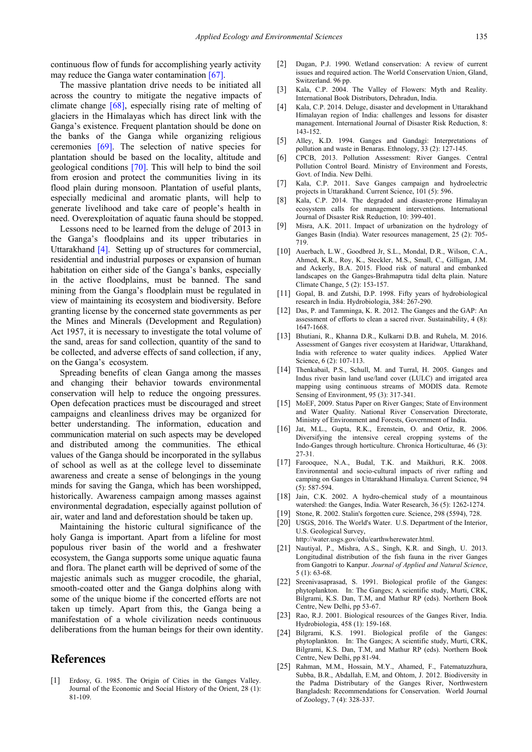continuous flow of funds for accomplishing yearly activity may reduce the Ganga water contamination [\[67\].](#page-8-36)

The massive plantation drive needs to be initiated all across the country to mitigate the negative impacts of climate change [\[68\],](#page-8-37) especially rising rate of melting of glaciers in the Himalayas which has direct link with the Ganga's existence. Frequent plantation should be done on the banks of the Ganga while organizing religious ceremonies [\[69\].](#page-8-38) The selection of native species for plantation should be based on the locality, altitude and geological conditions [\[70\].](#page-8-39) This will help to bind the soil from erosion and protect the communities living in its flood plain during monsoon. Plantation of useful plants, especially medicinal and aromatic plants, will help to generate livelihood and take care of people's health in need. Overexploitation of aquatic fauna should be stopped.

Lessons need to be learned from the deluge of 2013 in the Ganga's floodplains and its upper tributaries in Uttarakhand [\[4\].](#page-7-1) Setting up of structures for commercial, residential and industrial purposes or expansion of human habitation on either side of the Ganga's banks, especially in the active floodplains, must be banned. The sand mining from the Ganga's floodplain must be regulated in view of maintaining its ecosystem and biodiversity. Before granting license by the concerned state governments as per the Mines and Minerals (Development and Regulation) Act 1957, it is necessary to investigate the total volume of the sand, areas for sand collection, quantity of the sand to be collected, and adverse effects of sand collection, if any, on the Ganga's ecosystem.

Spreading benefits of clean Ganga among the masses and changing their behavior towards environmental conservation will help to reduce the ongoing pressures. Open defecation practices must be discouraged and street campaigns and cleanliness drives may be organized for better understanding. The information, education and communication material on such aspects may be developed and distributed among the communities. The ethical values of the Ganga should be incorporated in the syllabus of school as well as at the college level to disseminate awareness and create a sense of belongings in the young minds for saving the Ganga, which has been worshipped, historically. Awareness campaign among masses against environmental degradation, especially against pollution of air, water and land and deforestation should be taken up.

Maintaining the historic cultural significance of the holy Ganga is important. Apart from a lifeline for most populous river basin of the world and a freshwater ecosystem, the Ganga supports some unique aquatic fauna and flora. The planet earth will be deprived of some of the majestic animals such as mugger crocodile, the gharial, smooth-coated otter and the Ganga dolphins along with some of the unique biome if the concerted efforts are not taken up timely. Apart from this, the Ganga being a manifestation of a whole civilization needs continuous deliberations from the human beings for their own identity.

# **References**

<span id="page-7-0"></span>[1] Erdosy, G. 1985. The Origin of Cities in the Ganges Valley. Journal of the Economic and Social History of the Orient, 28 (1): 81-109.

- [2] Dugan, P.J. 1990. Wetland conservation: A review of current issues and required action. The World Conservation Union, Gland, Switzerland. 96 pp.
- <span id="page-7-10"></span>[3] Kala, C.P. 2004. The Valley of Flowers: Myth and Reality. International Book Distributors, Dehradun, India.
- <span id="page-7-1"></span>[4] Kala, C.P. 2014. Deluge, disaster and development in Uttarakhand Himalayan region of India: challenges and lessons for disaster management. International Journal of Disaster Risk Reduction, 8: 143-152.
- <span id="page-7-2"></span>[5] Alley, K.D. 1994. Ganges and Gandagi: Interpretations of pollution and waste in Benaras. Ethnology, 33 (2): 127-145.
- <span id="page-7-3"></span>[6] CPCB, 2013. Pollution Assessment: River Ganges. Central Pollution Control Board. Ministry of Environment and Forests, Govt. of India. New Delhi.
- <span id="page-7-4"></span>[7] Kala, C.P. 2011. Save Ganges campaign and hydroelectric projects in Uttarakhand. Current Science, 101 (5): 596.
- <span id="page-7-9"></span>[8] Kala, C.P. 2014. The degraded and disaster-prone Himalayan ecosystem calls for management interventions. International Journal of Disaster Risk Reduction, 10: 399-401.
- [9] Misra, A.K. 2011. Impact of urbanization on the hydrology of Ganges Basin (India). Water resources management, 25 (2): 705- 719.
- [10] Auerbach, L.W., Goodbred Jr, S.L., Mondal, D.R., Wilson, C.A., Ahmed, K.R., Roy, K., Steckler, M.S., Small, C., Gilligan, J.M. and Ackerly, B.A. 2015. Flood risk of natural and embanked landscapes on the Ganges-Brahmaputra tidal delta plain. Nature Climate Change, 5 (2): 153-157.
- <span id="page-7-5"></span>[11] Gopal, B. and Zutshi, D.P. 1998. Fifty years of hydrobiological research in India. Hydrobiologia, 384: 267-290.
- <span id="page-7-6"></span>[12] Das, P. and Tamminga, K. R. 2012. The Ganges and the GAP: An assessment of efforts to clean a sacred river. Sustainability, 4 (8): 1647-1668.
- [13] Bhutiani, R., Khanna D.R., Kulkarni D.B. and Ruhela, M. 2016. Assessment of Ganges river ecosystem at Haridwar, Uttarakhand, India with reference to water quality indices. Applied Water Science, 6 (2): 107-113.
- <span id="page-7-7"></span>[14] Thenkabail, P.S., Schull, M. and Turral, H. 2005. Ganges and Indus river basin land use/land cover (LULC) and irrigated area mapping using continuous streams of MODIS data. Remote Sensing of Environment, 95 (3): 317-341.
- <span id="page-7-8"></span>[15] MoEF, 2009. Status Paper on River Ganges; State of Environment and Water Quality. National River Conservation Directorate, Ministry of Environment and Forests, Government of India.
- [16] Jat, M.L., Gupta, R.K., Erenstein, O. and Ortiz, R. 2006. Diversifying the intensive cereal cropping systems of the Indo-Ganges through horticulture. Chronica Horticulturae, 46 (3): 27-31.
- <span id="page-7-11"></span>[17] Farooquee, N.A., Budal, T.K. and Maikhuri, R.K. 2008. Environmental and socio-cultural impacts of river rafting and camping on Ganges in Uttarakhand Himalaya. Current Science, 94 (5): 587-594.
- [18] Jain, C.K. 2002. A hydro-chemical study of a mountainous watershed: the Ganges, India. Water Research, 36 (5): 1262-1274.
- <span id="page-7-13"></span><span id="page-7-12"></span>[19] Stone, R. 2002. Stalin's forgotten cure. Science, 298 (5594), 728. [20] USGS, 2016. The World's Water. U.S. Department of the Interior, U.S. Geological Survey,

http://water.usgs.gov/edu/earthwherewater.html.

- <span id="page-7-14"></span>[21] Nautiyal, P., Mishra, A.S., Singh, K.R. and Singh, U. 2013. Longitudinal distribution of the fish fauna in the river Ganges from Gangotri to Kanpur. *Journal of Applied and Natural Science*, 5 (1): 63-68.
- <span id="page-7-15"></span>[22] Sreenivasaprasad, S. 1991. Biological profile of the Ganges: phytoplankton. In: The Ganges; A scientific study, Murti, CRK, Bilgrami, K.S. Dan, T.M, and Mathur RP (eds). Northern Book Centre, New Delhi, pp 53-67.
- <span id="page-7-16"></span>[23] Rao, R.J. 2001. Biological resources of the Ganges River, India. Hydrobiologia, 458 (1): 159-168.
- <span id="page-7-17"></span>[24] Bilgrami, K.S. 1991. Biological profile of the Ganges: phytoplankton. In: The Ganges; A scientific study, Murti, CRK, Bilgrami, K.S. Dan, T.M, and Mathur RP (eds). Northern Book Centre, New Delhi, pp 81-94.
- <span id="page-7-18"></span>[25] Rahman, M.M., Hossain, M.Y., Ahamed, F., Fatematuzzhura, Subba, B.R., Abdallah, E.M, and Ohtom, J. 2012. Biodiversity in the Padma Distributary of the Ganges River, Northwestern Bangladesh: Recommendations for Conservation. World Journal of Zoology, 7 (4): 328-337.